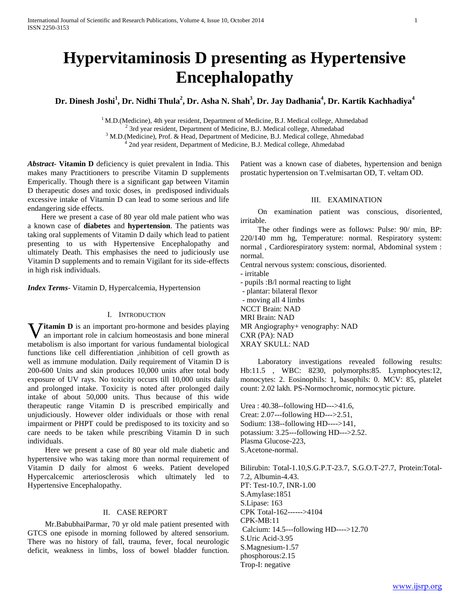# **Hypervitaminosis D presenting as Hypertensive Encephalopathy**

**Dr. Dinesh Joshi<sup>1</sup> , Dr. Nidhi Thula<sup>2</sup> , Dr. Asha N. Shah<sup>3</sup> , Dr. Jay Dadhania<sup>4</sup> , Dr. Kartik Kachhadiya<sup>4</sup>**

 $1$  M.D.(Medicine), 4th year resident, Department of Medicine, B.J. Medical college, Ahmedabad 2 3rd year resident, Department of Medicine, B.J. Medical college, Ahmedabad <sup>3</sup> M.D.(Medicine), Prof. & Head, Department of Medicine, B.J. Medical college, Ahmedabad

<sup>4</sup> 2nd year resident, Department of Medicine, B.J. Medical college, Ahmedabad

*Abstract***- Vitamin D** deficiency is quiet prevalent in India. This makes many Practitioners to prescribe Vitamin D supplements Emperically. Though there is a significant gap between Vitamin D therapeutic doses and toxic doses, in predisposed individuals excessive intake of Vitamin D can lead to some serious and life endangering side effects.

 Here we present a case of 80 year old male patient who was a known case of **diabetes** and **hypertension**. The patients was taking oral supplements of Vitamin D daily which lead to patient presenting to us with Hypertensive Encephalopathy and ultimately Death. This emphasises the need to judiciously use Vitamin D supplements and to remain Vigilant for its side-effects in high risk individuals.

*Index Terms*- Vitamin D, Hypercalcemia, Hypertension

## I. INTRODUCTION

**Vitamin D** is an important pro-hormone and besides playing an important role in calcium homeostasis and bone mineral an important role in calcium homeostasis and bone mineral metabolism is also important for various fundamental biological functions like cell differentiation ,inhibition of cell growth as well as immune modulation. Daily requirement of Vitamin D is 200-600 Units and skin produces 10,000 units after total body exposure of UV rays. No toxicity occurs till 10,000 units daily and prolonged intake. Toxicity is noted after prolonged daily intake of about 50,000 units. Thus because of this wide therapeutic range Vitamin D is prescribed empirically and unjudiciously. However older individuals or those with renal impairment or PHPT could be predisposed to its toxicity and so care needs to be taken while prescribing Vitamin D in such individuals.

 Here we present a case of 80 year old male diabetic and hypertensive who was taking more than normal requirement of Vitamin D daily for almost 6 weeks. Patient developed Hypercalcemic arteriosclerosis which ultimately led to Hypertensive Encephalopathy.

## II. CASE REPORT

 Mr.BabubhaiParmar, 70 yr old male patient presented with GTCS one episode in morning followed by altered sensorium. There was no history of fall, trauma, fever, focal neurologic deficit, weakness in limbs, loss of bowel bladder function.

Patient was a known case of diabetes, hypertension and benign prostatic hypertension on T.velmisartan OD, T. veltam OD.

#### III. EXAMINATION

 On examination patient was conscious, disoriented, irritable.

 The other findings were as follows: Pulse: 90/ min, BP: 220/140 mm hg, Temperature: normal. Respiratory system: normal , Cardiorespiratory system: normal, Abdominal system : normal.

Central nervous system: conscious, disoriented.

- irritable

- pupils :B/l normal reacting to light

- plantar: bilateral flexor

- moving all 4 limbs NCCT Brain: NAD

MRI Brain: NAD

MR Angiography+ venography: NAD CXR (PA): NAD

XRAY SKULL: NAD

 Laboratory investigations revealed following results: Hb:11.5 , WBC: 8230, polymorphs:85. Lymphocytes:12, monocytes: 2. Eosinophils: 1, basophils: 0. MCV: 85, platelet count: 2.02 lakh. PS-Normochromic, normocytic picture.

Urea : 40.38--following HD--->41.6, Creat: 2.07---following HD--->2.51, Sodium: 138--following HD---->141, potassium: 3.25---following HD--->2.52. Plasma Glucose-223, S.Acetone-normal.

Bilirubin: Total-1.10,S.G.P.T-23.7, S.G.O.T-27.7, Protein:Total-7.2, Albumin-4.43. PT: Test-10.7, INR-1.00 S.Amylase:1851 S.Lipase: 163 CPK Total-162------>4104 CPK-MB:11 Calcium: 14.5---following HD---->12.70 S.Uric Acid-3.95 S.Magnesium-1.57 phosphorous:2.15 Trop-I: negative